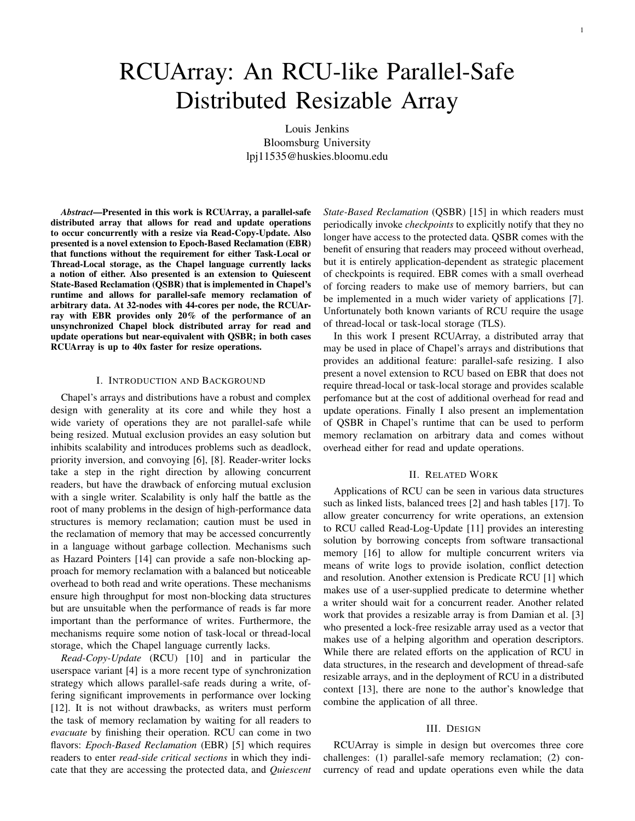# RCUArray: An RCU-like Parallel-Safe Distributed Resizable Array

Louis Jenkins Bloomsburg University lpj11535@huskies.bloomu.edu

*Abstract*—Presented in this work is RCUArray, a parallel-safe distributed array that allows for read and update operations to occur concurrently with a resize via Read-Copy-Update. Also presented is a novel extension to Epoch-Based Reclamation (EBR) that functions without the requirement for either Task-Local or Thread-Local storage, as the Chapel language currently lacks a notion of either. Also presented is an extension to Quiescent State-Based Reclamation (QSBR) that is implemented in Chapel's runtime and allows for parallel-safe memory reclamation of arbitrary data. At 32-nodes with 44-cores per node, the RCUArray with EBR provides only 20% of the performance of an unsynchronized Chapel block distributed array for read and update operations but near-equivalent with QSBR; in both cases RCUArray is up to 40x faster for resize operations.

## I. INTRODUCTION AND BACKGROUND

Chapel's arrays and distributions have a robust and complex design with generality at its core and while they host a wide variety of operations they are not parallel-safe while being resized. Mutual exclusion provides an easy solution but inhibits scalability and introduces problems such as deadlock, priority inversion, and convoying [6], [8]. Reader-writer locks take a step in the right direction by allowing concurrent readers, but have the drawback of enforcing mutual exclusion with a single writer. Scalability is only half the battle as the root of many problems in the design of high-performance data structures is memory reclamation; caution must be used in the reclamation of memory that may be accessed concurrently in a language without garbage collection. Mechanisms such as Hazard Pointers [14] can provide a safe non-blocking approach for memory reclamation with a balanced but noticeable overhead to both read and write operations. These mechanisms ensure high throughput for most non-blocking data structures but are unsuitable when the performance of reads is far more important than the performance of writes. Furthermore, the mechanisms require some notion of task-local or thread-local storage, which the Chapel language currently lacks.

*Read-Copy-Update* (RCU) [10] and in particular the userspace variant [4] is a more recent type of synchronization strategy which allows parallel-safe reads during a write, offering significant improvements in performance over locking [12]. It is not without drawbacks, as writers must perform the task of memory reclamation by waiting for all readers to *evacuate* by finishing their operation. RCU can come in two flavors: *Epoch-Based Reclamation* (EBR) [5] which requires readers to enter *read-side critical sections* in which they indicate that they are accessing the protected data, and *Quiescent*

*State-Based Reclamation* (QSBR) [15] in which readers must periodically invoke *checkpoints* to explicitly notify that they no longer have access to the protected data. QSBR comes with the benefit of ensuring that readers may proceed without overhead, but it is entirely application-dependent as strategic placement of checkpoints is required. EBR comes with a small overhead of forcing readers to make use of memory barriers, but can be implemented in a much wider variety of applications [7]. Unfortunately both known variants of RCU require the usage of thread-local or task-local storage (TLS).

In this work I present RCUArray, a distributed array that may be used in place of Chapel's arrays and distributions that provides an additional feature: parallel-safe resizing. I also present a novel extension to RCU based on EBR that does not require thread-local or task-local storage and provides scalable perfomance but at the cost of additional overhead for read and update operations. Finally I also present an implementation of QSBR in Chapel's runtime that can be used to perform memory reclamation on arbitrary data and comes without overhead either for read and update operations.

#### II. RELATED WORK

Applications of RCU can be seen in various data structures such as linked lists, balanced trees [2] and hash tables [17]. To allow greater concurrency for write operations, an extension to RCU called Read-Log-Update [11] provides an interesting solution by borrowing concepts from software transactional memory [16] to allow for multiple concurrent writers via means of write logs to provide isolation, conflict detection and resolution. Another extension is Predicate RCU [1] which makes use of a user-supplied predicate to determine whether a writer should wait for a concurrent reader. Another related work that provides a resizable array is from Damian et al. [3] who presented a lock-free resizable array used as a vector that makes use of a helping algorithm and operation descriptors. While there are related efforts on the application of RCU in data structures, in the research and development of thread-safe resizable arrays, and in the deployment of RCU in a distributed context [13], there are none to the author's knowledge that combine the application of all three.

#### III. DESIGN

RCUArray is simple in design but overcomes three core challenges: (1) parallel-safe memory reclamation; (2) concurrency of read and update operations even while the data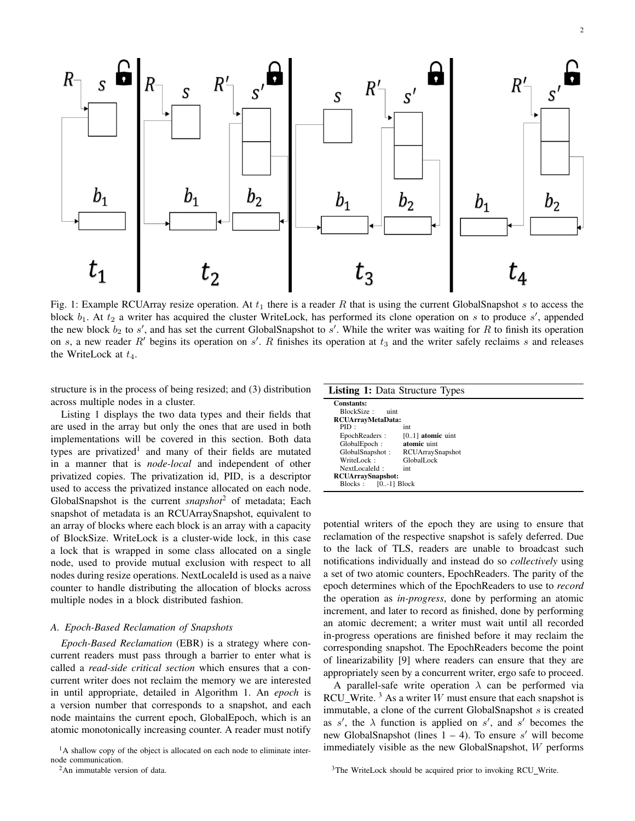

Fig. 1: Example RCUArray resize operation. At  $t_1$  there is a reader R that is using the current GlobalSnapshot s to access the block  $b_1$ . At  $t_2$  a writer has acquired the cluster WriteLock, has performed its clone operation on s to produce s', appended the new block  $b_2$  to  $s'$ , and has set the current GlobalSnapshot to  $s'$ . While the writer was waiting for R to finish its operation on s, a new reader R' begins its operation on s'. R finishes its operation at  $t_3$  and the writer safely reclaims s and releases the WriteLock at  $t_4$ .

structure is in the process of being resized; and (3) distribution across multiple nodes in a cluster.

Listing 1 displays the two data types and their fields that are used in the array but only the ones that are used in both implementations will be covered in this section. Both data types are privatized<sup>1</sup> and many of their fields are mutated in a manner that is *node-local* and independent of other privatized copies. The privatization id, PID, is a descriptor used to access the privatized instance allocated on each node. GlobalSnapshot is the current *snapshot*<sup>2</sup> of metadata; Each snapshot of metadata is an RCUArraySnapshot, equivalent to an array of blocks where each block is an array with a capacity of BlockSize. WriteLock is a cluster-wide lock, in this case a lock that is wrapped in some class allocated on a single node, used to provide mutual exclusion with respect to all nodes during resize operations. NextLocaleId is used as a naive counter to handle distributing the allocation of blocks across multiple nodes in a block distributed fashion.

## *A. Epoch-Based Reclamation of Snapshots*

*Epoch-Based Reclamation* (EBR) is a strategy where concurrent readers must pass through a barrier to enter what is called a *read-side critical section* which ensures that a concurrent writer does not reclaim the memory we are interested in until appropriate, detailed in Algorithm 1. An *epoch* is a version number that corresponds to a snapshot, and each node maintains the current epoch, GlobalEpoch, which is an atomic monotonically increasing counter. A reader must notify

| <b>Listing 1:</b> Data Structure Types |                         |  |
|----------------------------------------|-------------------------|--|
| Constants:                             |                         |  |
| BlockSize:<br>uint                     |                         |  |
| RCUArrayMetaData:                      |                         |  |
| PID:                                   | int                     |  |
| EpochReaders:                          | $[01]$ atomic uint      |  |
| GlobalEpoch:                           | atomic uint             |  |
| GlobalSnapshot:                        | <b>RCUArraySnapshot</b> |  |
| WriteLock:                             | GlobalLock              |  |
| NextLocaleId $\cdot$                   | int                     |  |
| <b>RCUArraySnapshot:</b>               |                         |  |
| $[0,-1]$ Block<br>Blocks:              |                         |  |

potential writers of the epoch they are using to ensure that reclamation of the respective snapshot is safely deferred. Due to the lack of TLS, readers are unable to broadcast such notifications individually and instead do so *collectively* using a set of two atomic counters, EpochReaders. The parity of the epoch determines which of the EpochReaders to use to *record* the operation as *in-progress*, done by performing an atomic increment, and later to record as finished, done by performing an atomic decrement; a writer must wait until all recorded in-progress operations are finished before it may reclaim the corresponding snapshot. The EpochReaders become the point of linearizability [9] where readers can ensure that they are appropriately seen by a concurrent writer, ergo safe to proceed.

A parallel-safe write operation  $\lambda$  can be performed via RCU Write.  $3$  As a writer W must ensure that each snapshot is immutable, a clone of the current GlobalSnapshot s is created as s', the  $\lambda$  function is applied on s', and s' becomes the new GlobalSnapshot (lines  $1 - 4$ ). To ensure s' will become immediately visible as the new GlobalSnapshot, W performs

 $<sup>1</sup>A$  shallow copy of the object is allocated on each node to eliminate inter-</sup> node communication.

<sup>2</sup>An immutable version of data.

<sup>&</sup>lt;sup>3</sup>The WriteLock should be acquired prior to invoking RCU\_Write.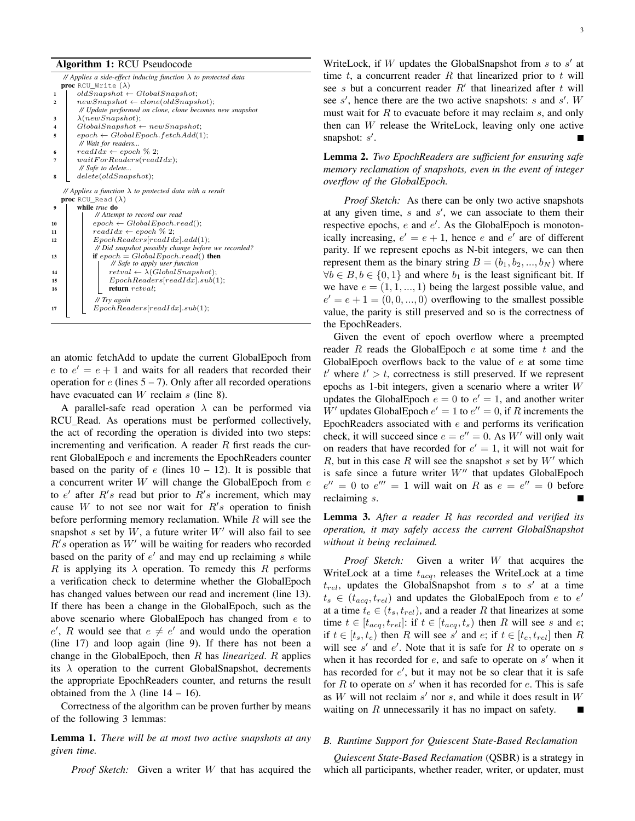#### Algorithm 1: RCU Pseudocode

|                                  | // Applies a side-effect inducing function $\lambda$ to protected data |  |  |
|----------------------------------|------------------------------------------------------------------------|--|--|
|                                  | <b>proc</b> RCU Write $(\lambda)$                                      |  |  |
| 1                                | $oldSnapshot \leftarrow GlobalSnapshot;$                               |  |  |
| $\overline{2}$                   | $newSnapshot \leftarrow clone(oldSnapshot);$                           |  |  |
|                                  | // Update performed on clone, clone becomes new snapshot               |  |  |
| 3                                | $\lambda(newSnapshot);$                                                |  |  |
| 4                                | $GlobalSnapshot \leftarrow newSnapshot;$                               |  |  |
| 5                                | $epoch \leftarrow GlobalEpoch.fetchAdd(1);$                            |  |  |
|                                  | // Wait for readers                                                    |  |  |
| 6                                | $readIdx \leftarrow epoch \% 2;$                                       |  |  |
| 7                                | waitForReaders(readIdx);                                               |  |  |
|                                  | // Safe to delete                                                      |  |  |
| 8                                | delete(oldSnapshot);                                                   |  |  |
|                                  |                                                                        |  |  |
|                                  | // Applies a function $\lambda$ to protected data with a result        |  |  |
| <b>proc</b> RCU_Read $(\lambda)$ |                                                                        |  |  |
| 9                                | while true do                                                          |  |  |
|                                  |                                                                        |  |  |
|                                  | // Attempt to record our read                                          |  |  |
| 10                               | $epoch \leftarrow GlobalEpoch.read();$                                 |  |  |
| 11                               | $readIdx \leftarrow epoch \% 2;$                                       |  |  |
| 12                               | EpochReaders[readIdx].add(1);                                          |  |  |
|                                  | // Did snapshot possibly change before we recorded?                    |  |  |
| 13                               | if $epoch = GlobalEpoch.read()$ then                                   |  |  |
|                                  | // Safe to apply user function                                         |  |  |
| 14                               | $retval \leftarrow \lambda(GlobalSnapshot);$                           |  |  |
| 15                               | EpochReaders[readIdx].sub(1);                                          |  |  |
| 16                               | return retval:                                                         |  |  |
|                                  | // Try again                                                           |  |  |
| 17                               | EpochReaders[readIdx].sub(1);                                          |  |  |

an atomic fetchAdd to update the current GlobalEpoch from e to  $e' = e + 1$  and waits for all readers that recorded their operation for  $e$  (lines  $5 - 7$ ). Only after all recorded operations have evacuated can  $W$  reclaim  $s$  (line 8).

A parallel-safe read operation  $\lambda$  can be performed via RCU\_Read. As operations must be performed collectively, the act of recording the operation is divided into two steps: incrementing and verification. A reader  $R$  first reads the current GlobalEpoch e and increments the EpochReaders counter based on the parity of  $e$  (lines  $10 - 12$ ). It is possible that a concurrent writer  $W$  will change the GlobalEpoch from  $e$ to  $e'$  after  $R's$  read but prior to  $R's$  increment, which may cause  $W$  to not see nor wait for  $R's$  operation to finish before performing memory reclamation. While  $R$  will see the snapshot s set by  $W$ , a future writer  $W'$  will also fail to see  $R's$  operation as  $W'$  will be waiting for readers who recorded based on the parity of  $e'$  and may end up reclaiming  $s$  while R is applying its  $\lambda$  operation. To remedy this R performs a verification check to determine whether the GlobalEpoch has changed values between our read and increment (line 13). If there has been a change in the GlobalEpoch, such as the above scenario where GlobalEpoch has changed from  $e$  to e', R would see that  $e \neq e'$  and would undo the operation (line 17) and loop again (line 9). If there has not been a change in the GlobalEpoch, then R has *linearized*. R applies its  $\lambda$  operation to the current GlobalSnapshot, decrements the appropriate EpochReaders counter, and returns the result obtained from the  $\lambda$  (line 14 – 16).

Correctness of the algorithm can be proven further by means of the following 3 lemmas:

Lemma 1. *There will be at most two active snapshots at any given time.*

*Proof Sketch:* Given a writer W that has acquired the

WriteLock, if W updates the GlobalSnapshot from  $s$  to  $s'$  at time t, a concurrent reader R that linearized prior to t will see s but a concurrent reader  $R'$  that linearized after t will see  $s'$ , hence there are the two active snapshots:  $s$  and  $s'$ . W must wait for  $R$  to evacuate before it may reclaim  $s$ , and only then can W release the WriteLock, leaving only one active snapshot:  $s'$ .

Lemma 2. *Two EpochReaders are sufficient for ensuring safe memory reclamation of snapshots, even in the event of integer overflow of the GlobalEpoch.*

*Proof Sketch:* As there can be only two active snapshots at any given time,  $s$  and  $s'$ , we can associate to them their respective epochs,  $e$  and  $e'$ . As the GlobalEpoch is monotonically increasing,  $e' = e + 1$ , hence e and  $e'$  are of different parity. If we represent epochs as N-bit integers, we can then represent them as the binary string  $B = (b_1, b_2, ..., b_N)$  where  $\forall b \in B, b \in \{0, 1\}$  and where  $b_1$  is the least significant bit. If we have  $e = (1, 1, ..., 1)$  being the largest possible value, and  $e' = e + 1 = (0, 0, ..., 0)$  overflowing to the smallest possible value, the parity is still preserved and so is the correctness of the EpochReaders.

Given the event of epoch overflow where a preempted reader R reads the GlobalEpoch  $e$  at some time  $t$  and the GlobalEpoch overflows back to the value of  $e$  at some time  $t'$  where  $t' > t$ , correctness is still preserved. If we represent epochs as 1-bit integers, given a scenario where a writer W updates the GlobalEpoch  $e = 0$  to  $e' = 1$ , and another writer W' updates GlobalEpoch  $e' = 1$  to  $e'' = 0$ , if R increments the EpochReaders associated with  $e$  and performs its verification check, it will succeed since  $e = e'' = 0$ . As W' will only wait on readers that have recorded for  $e' = 1$ , it will not wait for R, but in this case R will see the snapshot s set by  $W'$  which is safe since a future writer  $W''$  that updates GlobalEpoch  $e'' = 0$  to  $e''' = 1$  will wait on R as  $e = e'' = 0$  before reclaiming s.

Lemma 3. *After a reader* R *has recorded and verified its operation, it may safely access the current GlobalSnapshot without it being reclaimed.*

*Proof Sketch:* Given a writer W that acquires the WriteLock at a time  $t_{acq}$ , releases the WriteLock at a time  $t_{rel}$ , updates the GlobalSnapshot from s to s' at a time  $t_s \in (t_{acq}, t_{rel})$  and updates the GlobalEpoch from e to e' at a time  $t_e \in (t_s, t_{rel})$ , and a reader R that linearizes at some time  $t \in [t_{acq}, t_{rel}]$ : if  $t \in [t_{acq}, t_s)$  then R will see s and e; if  $t \in [t_s, t_e)$  then R will see s' and e; if  $t \in [t_e, t_{rel}]$  then R will see  $s'$  and  $e'$ . Note that it is safe for R to operate on s when it has recorded for  $e$ , and safe to operate on  $s'$  when it has recorded for  $e'$ , but it may not be so clear that it is safe for  $R$  to operate on  $s'$  when it has recorded for  $e$ . This is safe as  $W$  will not reclaim  $s'$  nor  $s$ , and while it does result in  $W$ waiting on R unnecessarily it has no impact on safety.

#### *B. Runtime Support for Quiescent State-Based Reclamation*

*Quiescent State-Based Reclamation* (QSBR) is a strategy in which all participants, whether reader, writer, or updater, must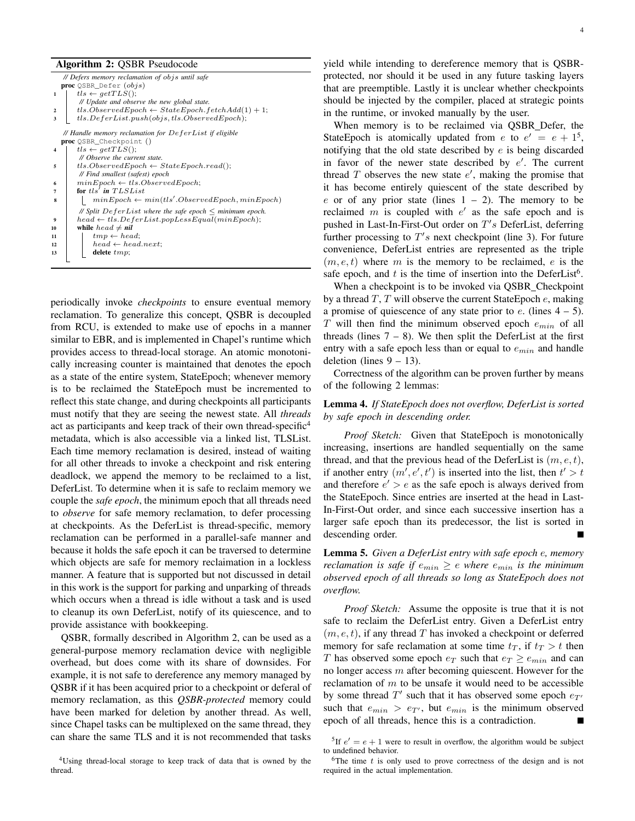#### Algorithm 2: QSBR Pseudocode

|                         | // Defers memory reclamation of objs until safe                 |
|-------------------------|-----------------------------------------------------------------|
|                         | <b>proc</b> QSBR_Defer $(objs)$                                 |
| $\mathbf{1}$            | $tls \leftarrow getTLS$ ();                                     |
|                         | // Update and observe the new global state.                     |
| $\overline{\mathbf{c}}$ | $tls. ObservedEpoch \leftarrow StateEpoch.fetchAdd(1) + 1;$     |
| 3                       | $tls. DeferList.push(objs, tls. ObservedEpoch);$                |
|                         | // Handle memory reclamation for $DefineerList$ if eligible     |
|                         | proc QSBR_Checkpoint ()                                         |
| $\overline{4}$          | $tls \leftarrow getTLS$ .                                       |
|                         | // Observe the current state.                                   |
| 5                       | $tls. ObservedEpoch \leftarrow StateEpoch.read();$              |
|                         | // Find smallest (safest) epoch                                 |
| 6                       | $minEpoch \leftarrow tls. ObservedEpoch;$                       |
| 7                       | for $tls'$ in $TLSList$                                         |
| 8                       | $minEpoch \leftarrow min(tls'.ObservedEpoch, minEpoch)$         |
|                         | // Split $DeferList$ where the safe epoch $\leq$ minimum epoch. |
| 9                       | $head \leftarrow tls. DeferList.popLessEqual(minEpoch);$        |
| 10                      | while $head \neq nil$                                           |
| 11                      | $tmp \leftarrow head;$                                          |
| 12                      | $head \leftarrow head.next;$                                    |
| 13                      | delete $tmp;$                                                   |
|                         |                                                                 |

periodically invoke *checkpoints* to ensure eventual memory reclamation. To generalize this concept, QSBR is decoupled from RCU, is extended to make use of epochs in a manner similar to EBR, and is implemented in Chapel's runtime which provides access to thread-local storage. An atomic monotonically increasing counter is maintained that denotes the epoch as a state of the entire system, StateEpoch; whenever memory is to be reclaimed the StateEpoch must be incremented to reflect this state change, and during checkpoints all participants must notify that they are seeing the newest state. All *threads* act as participants and keep track of their own thread-specific<sup>4</sup> metadata, which is also accessible via a linked list, TLSList. Each time memory reclamation is desired, instead of waiting for all other threads to invoke a checkpoint and risk entering deadlock, we append the memory to be reclaimed to a list, DeferList. To determine when it is safe to reclaim memory we couple the *safe epoch*, the minimum epoch that all threads need to *observe* for safe memory reclamation, to defer processing at checkpoints. As the DeferList is thread-specific, memory reclamation can be performed in a parallel-safe manner and because it holds the safe epoch it can be traversed to determine which objects are safe for memory reclaimation in a lockless manner. A feature that is supported but not discussed in detail in this work is the support for parking and unparking of threads which occurs when a thread is idle without a task and is used to cleanup its own DeferList, notify of its quiescence, and to provide assistance with bookkeeping.

QSBR, formally described in Algorithm 2, can be used as a general-purpose memory reclamation device with negligible overhead, but does come with its share of downsides. For example, it is not safe to dereference any memory managed by QSBR if it has been acquired prior to a checkpoint or deferal of memory reclamation, as this *QSBR-protected* memory could have been marked for deletion by another thread. As well, since Chapel tasks can be multiplexed on the same thread, they can share the same TLS and it is not recommended that tasks

<sup>4</sup>Using thread-local storage to keep track of data that is owned by the thread.

yield while intending to dereference memory that is QSBRprotected, nor should it be used in any future tasking layers that are preemptible. Lastly it is unclear whether checkpoints should be injected by the compiler, placed at strategic points in the runtime, or invoked manually by the user.

When memory is to be reclaimed via QSBR Defer, the StateEpoch is atomically updated from e to  $e' = e + 1^5$ , notifying that the old state described by e is being discarded in favor of the newer state described by  $e'$ . The current thread  $T$  observes the new state  $e'$ , making the promise that it has become entirely quiescent of the state described by e or of any prior state (lines  $1 - 2$ ). The memory to be reclaimed  $m$  is coupled with  $e'$  as the safe epoch and is pushed in Last-In-First-Out order on  $T's$  DeferList, deferring further processing to  $T's$  next checkpoint (line 3). For future convenience, DeferList entries are represented as the triple  $(m, e, t)$  where m is the memory to be reclaimed, e is the safe epoch, and t is the time of insertion into the DeferList<sup>6</sup>.

When a checkpoint is to be invoked via QSBR Checkpoint by a thread  $T$ ,  $T$  will observe the current StateEpoch  $e$ , making a promise of quiescence of any state prior to  $e$ . (lines  $4 - 5$ ).  $T$  will then find the minimum observed epoch  $e_{min}$  of all threads (lines  $7 - 8$ ). We then split the DeferList at the first entry with a safe epoch less than or equal to  $e_{min}$  and handle deletion (lines  $9 - 13$ ).

Correctness of the algorithm can be proven further by means of the following 2 lemmas:

# Lemma 4. *If StateEpoch does not overflow, DeferList is sorted by safe epoch in descending order.*

*Proof Sketch:* Given that StateEpoch is monotonically increasing, insertions are handled sequentially on the same thread, and that the previous head of the DeferList is  $(m, e, t)$ , if another entry  $(m', e', t')$  is inserted into the list, then  $t' > t$ and therefore  $e' > e$  as the safe epoch is always derived from the StateEpoch. Since entries are inserted at the head in Last-In-First-Out order, and since each successive insertion has a larger safe epoch than its predecessor, the list is sorted in descending order.

Lemma 5. *Given a DeferList entry with safe epoch* e*, memory reclamation is safe if*  $e_{min} \geq e$  *where*  $e_{min}$  *is the minimum observed epoch of all threads so long as StateEpoch does not overflow.*

*Proof Sketch:* Assume the opposite is true that it is not safe to reclaim the DeferList entry. Given a DeferList entry  $(m, e, t)$ , if any thread T has invoked a checkpoint or deferred memory for safe reclamation at some time  $t_T$ , if  $t_T > t$  then T has observed some epoch  $e_T$  such that  $e_T \ge e_{min}$  and can no longer access  $m$  after becoming quiescent. However for the reclamation of  $m$  to be unsafe it would need to be accessible by some thread  $T'$  such that it has observed some epoch  $e_{T'}$ such that  $e_{min} > e_{T}$ , but  $e_{min}$  is the minimum observed epoch of all threads, hence this is a contradiction.

<sup>5</sup>If  $e' = e + 1$  were to result in overflow, the algorithm would be subject to undefined behavior.

 ${}^{6}$ The time t is only used to prove correctness of the design and is not required in the actual implementation.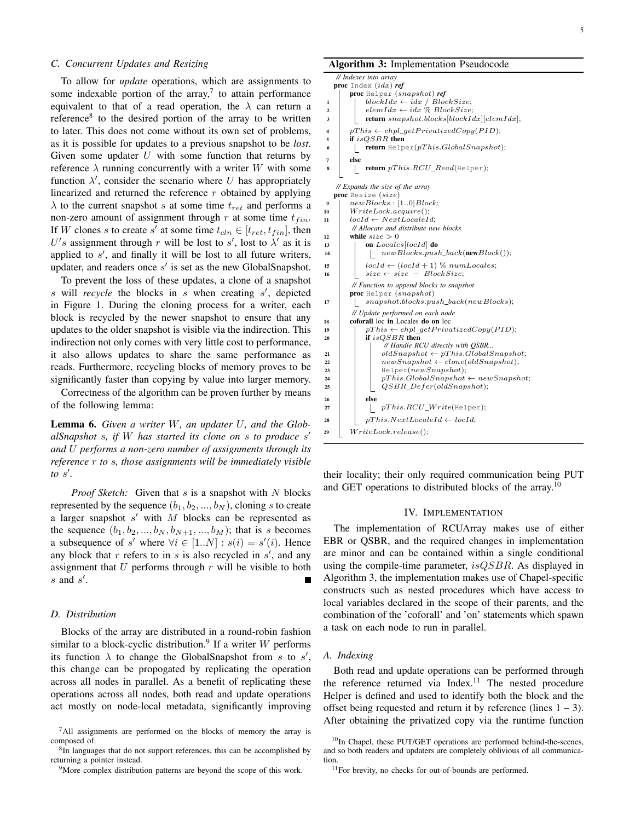## *C. Concurrent Updates and Resizing*

To allow for *update* operations, which are assignments to some indexable portion of the array,<sup>7</sup> to attain performance equivalent to that of a read operation, the  $\lambda$  can return a reference<sup>8</sup> to the desired portion of the array to be written to later. This does not come without its own set of problems, as it is possible for updates to a previous snapshot to be *lost*. Given some updater  $U$  with some function that returns by reference  $\lambda$  running concurrently with a writer W with some function  $\lambda'$ , consider the scenario where U has appropriately linearized and returned the reference  $r$  obtained by applying  $\lambda$  to the current snapshot s at some time  $t_{ret}$  and performs a non-zero amount of assignment through r at some time  $t_{fin}$ . If W clones s to create s' at some time  $t_{cln} \in [t_{ret}, t_{fin}]$ , then U's assignment through r will be lost to s', lost to  $\lambda'$  as it is applied to  $s'$ , and finally it will be lost to all future writers, updater, and readers once  $s'$  is set as the new GlobalSnapshot.

To prevent the loss of these updates, a clone of a snapshot  $s$  will *recycle* the blocks in  $s$  when creating  $s'$ , depicted in Figure 1. During the cloning process for a writer, each block is recycled by the newer snapshot to ensure that any updates to the older snapshot is visible via the indirection. This indirection not only comes with very little cost to performance, it also allows updates to share the same performance as reads. Furthermore, recycling blocks of memory proves to be significantly faster than copying by value into larger memory.

Correctness of the algorithm can be proven further by means of the following lemma:

Lemma 6. *Given a writer* W*, an updater* U*, and the GlobalSnapshot* s*, if* W *has started its clone on* s *to produce* s 0 *and* U *performs a non-zero number of assignments through its reference* r *to* s*, those assignments will be immediately visible to* s 0 *.*

*Proof Sketch:* Given that s is a snapshot with N blocks represented by the sequence  $(b_1, b_2, ..., b_N)$ , cloning s to create a larger snapshot  $s'$  with  $M$  blocks can be represented as the sequence  $(b_1, b_2, ..., b_N, b_{N+1}, ..., b_M)$ ; that is s becomes a subsequence of s' where  $\forall i \in [1..N] : s(i) = s'(i)$ . Hence any block that  $r$  refers to in  $s$  is also recycled in  $s'$ , and any assignment that  $U$  performs through  $r$  will be visible to both  $s$  and  $s'$ .

## *D. Distribution*

Blocks of the array are distributed in a round-robin fashion similar to a block-cyclic distribution.<sup>9</sup> If a writer W performs its function  $\lambda$  to change the GlobalSnapshot from s to s', this change can be propogated by replicating the operation across all nodes in parallel. As a benefit of replicating these operations across all nodes, both read and update operations act mostly on node-local metadata, significantly improving

#### Algorithm 3: Implementation Pseudocode

*// Indexes into array* proc Index (idx) *ref* proc Helper (snapshot) *ref* 1 blockIdx  $\leftarrow$  idx / BlockSize; 2 elemIdx  $\leftarrow$  idx  $\%$  BlockSize;  $\Box$  return snapshot.blocks[blockIdx][elemIdx]; 4  $pThis \leftarrow chpl\_getPrivatedCopy(PID);$  $\begin{array}{c|c}\n5 & \text{if } is QSBR \text{ then} \\
6 & \text{return } \text{Helb}\n\end{array}$  $\begin{array}{ll} & \textbf{return } \text{Helper}(pThis.GlobalSnapshot); \end{array}$ 7 else  $\begin{array}{ll} & \textbf{return } pThis.RCU\_Read(\texttt{Helper}); \end{array}$ *// Expands the size of the array* proc Resize (size)  $9$  |  $newBlocks : [1..0] Block;$  $10$  WriteLock.acquire();  $11$   $locId \leftarrow NextLocaleId;$ *// Allocate and distribute new blocks* 12 while  $size > 0$ 13 **on** Locales [locId] **do** 14 | | newBlocks.push\_back(newBlock()); <sup>15</sup> locId ← (locId + 1) % numLocales; 16  $\vert$  size ← size – BlockSize; *// Function to append blocks to snapshot* proc Helper (snapshot)  $\begin{tabular}{c} \bf 17 & | & \tt \end{tabular} \begin{tabular}{c} \bf 17 & | & \tt \end{tabular} \begin{tabular}{c} \bf 18 & \tt \end{tabular} \begin{tabular}{c} \bf 19 & \tt \end{tabular} \end{tabular}$ *// Update performed on each node* 18 coforall loc in Locales do on loc 19 | pThis ← chpl\_getPrivatizedCopy(PID);  $20$  | if  $isQSBR$  then *// Handle RCU directly with QSBR...* 21 |  $\vert$  oldSnapshot ← pThis.GlobalSnapshot; 22 | |  $newSnapshot \leftarrow clone(oldSnapshot);$  $23$  | | Helper(newSnapshot); 24 pThis.GlobalSnapshot ← newSnapshot;<br>25 0SBR Defer(oldSnapshot):  $QSBR\_Defer(oldSnapshot);$  $26$  else  $27$  | |  $pThis.RCU_Write(\text{Helper});$ 28 | pThis.NextLocaleId ← locId;  $29$  WriteLock.release();

their locality; their only required communication being PUT and GET operations to distributed blocks of the array.<sup>10</sup>

# IV. IMPLEMENTATION

The implementation of RCUArray makes use of either EBR or QSBR, and the required changes in implementation are minor and can be contained within a single conditional using the compile-time parameter, *isQSBR*. As displayed in Algorithm 3, the implementation makes use of Chapel-specific constructs such as nested procedures which have access to local variables declared in the scope of their parents, and the combination of the 'coforall' and 'on' statements which spawn a task on each node to run in parallel.

#### *A. Indexing*

Both read and update operations can be performed through the reference returned via Index.<sup>11</sup> The nested procedure Helper is defined and used to identify both the block and the offset being requested and return it by reference (lines  $1 - 3$ ). After obtaining the privatized copy via the runtime function

 $7$ All assignments are performed on the blocks of memory the array is composed of.

<sup>&</sup>lt;sup>8</sup>In languages that do not support references, this can be accomplished by returning a pointer instead.

<sup>&</sup>lt;sup>9</sup>More complex distribution patterns are beyond the scope of this work.

 $10$ In Chapel, these PUT/GET operations are performed behind-the-scenes, and so both readers and updaters are completely oblivious of all communication

<sup>11</sup>For brevity, no checks for out-of-bounds are performed.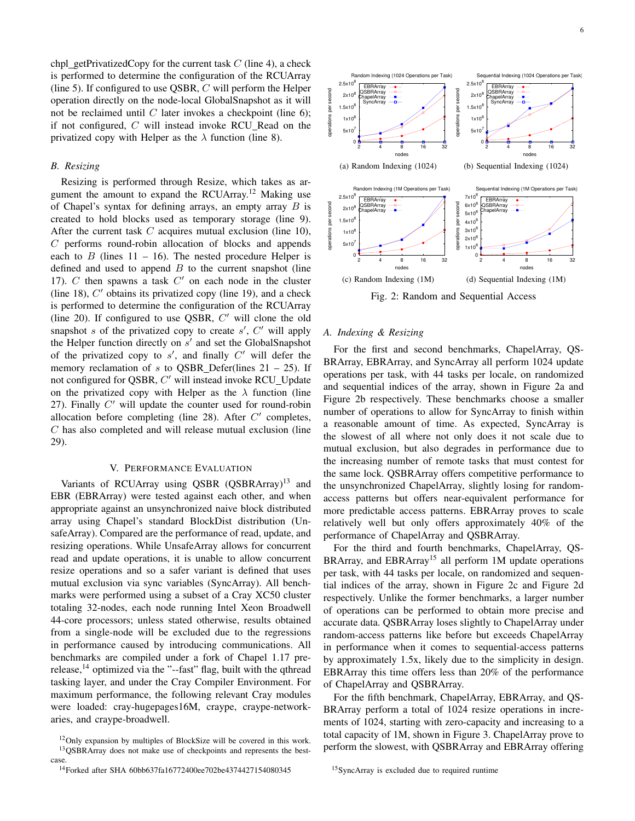chpl getPrivatizedCopy for the current task  $C$  (line 4), a check is performed to determine the configuration of the RCUArray (line 5). If configured to use QSBR,  $C$  will perform the Helper operation directly on the node-local GlobalSnapshot as it will not be reclaimed until  $C$  later invokes a checkpoint (line 6); if not configured,  $C$  will instead invoke RCU\_Read on the privatized copy with Helper as the  $\lambda$  function (line 8).

## *B. Resizing*

Resizing is performed through Resize, which takes as argument the amount to expand the RCUArray.<sup>12</sup> Making use of Chapel's syntax for defining arrays, an empty array  $B$  is created to hold blocks used as temporary storage (line 9). After the current task  $C$  acquires mutual exclusion (line 10),  $C$  performs round-robin allocation of blocks and appends each to  $B$  (lines 11 – 16). The nested procedure Helper is defined and used to append  $B$  to the current snapshot (line 17).  $C$  then spawns a task  $C'$  on each node in the cluster (line 18),  $C'$  obtains its privatized copy (line 19), and a check is performed to determine the configuration of the RCUArray (line 20). If configured to use QSBR,  $C'$  will clone the old snapshot  $s$  of the privatized copy to create  $s'$ ,  $C'$  will apply the Helper function directly on  $s'$  and set the GlobalSnapshot of the privatized copy to  $s'$ , and finally  $C'$  will defer the memory reclamation of s to QSBR\_Defer(lines  $21 - 25$ ). If not configured for QSBR, C' will instead invoke RCU\_Update on the privatized copy with Helper as the  $\lambda$  function (line 27). Finally  $C'$  will update the counter used for round-robin allocation before completing (line  $28$ ). After  $C'$  completes, C has also completed and will release mutual exclusion (line 29). **Example is the control of the control of the control of the control of the control of the control of the control of the control of the control of the control of the control of the control of the control of the control of** 

## V. PERFORMANCE EVALUATION

Variants of RCUArray using QSBR (QSBRArray)<sup>13</sup> and EBR (EBRArray) were tested against each other, and when appropriate against an unsynchronized naive block distributed array using Chapel's standard BlockDist distribution (UnsafeArray). Compared are the performance of read, update, and resizing operations. While UnsafeArray allows for concurrent read and update operations, it is unable to allow concurrent resize operations and so a safer variant is defined that uses mutual exclusion via sync variables (SyncArray). All benchmarks were performed using a subset of a Cray XC50 cluster totaling 32-nodes, each node running Intel Xeon Broadwell 44-core processors; unless stated otherwise, results obtained from a single-node will be excluded due to the regressions in performance caused by introducing communications. All benchmarks are compiled under a fork of Chapel 1.17 prerelease,  $^{14}$  optimized via the "--fast" flag, built with the qthread tasking layer, and under the Cray Compiler Environment. For maximum performance, the following relevant Cray modules were loaded: cray-hugepages16M, craype, craype-networkaries, and craype-broadwell.



6



Fig. 2: Random and Sequential Access

## *A. Indexing & Resizing*

For the first and second benchmarks, ChapelArray, QS-BRArray, EBRArray, and SyncArray all perform 1024 update operations per task, with 44 tasks per locale, on randomized and sequential indices of the array, shown in Figure 2a and Figure 2b respectively. These benchmarks choose a smaller number of operations to allow for SyncArray to finish within a reasonable amount of time. As expected, SyncArray is the slowest of all where not only does it not scale due to mutual exclusion, but also degrades in performance due to the increasing number of remote tasks that must contest for the same lock. QSBRArray offers competitive performance to the unsynchronized ChapelArray, slightly losing for randomaccess patterns but offers near-equivalent performance for more predictable access patterns. EBRArray proves to scale relatively well but only offers approximately 40% of the performance of ChapelArray and QSBRArray.

For the third and fourth benchmarks, ChapelArray, QS-BRArray, and EBRArray<sup>15</sup> all perform 1M update operations per task, with 44 tasks per locale, on randomized and sequential indices of the array, shown in Figure 2c and Figure 2d respectively. Unlike the former benchmarks, a larger number of operations can be performed to obtain more precise and accurate data. QSBRArray loses slightly to ChapelArray under random-access patterns like before but exceeds ChapelArray in performance when it comes to sequential-access patterns by approximately 1.5x, likely due to the simplicity in design. EBRArray this time offers less than 20% of the performance of ChapelArray and QSBRArray.

For the fifth benchmark, ChapelArray, EBRArray, and QS-BRArray perform a total of 1024 resize operations in increments of 1024, starting with zero-capacity and increasing to a total capacity of 1M, shown in Figure 3. ChapelArray prove to perform the slowest, with QSBRArray and EBRArray offering

<sup>15</sup>SyncArray is excluded due to required runtime

<sup>&</sup>lt;sup>12</sup>Only expansion by multiples of BlockSize will be covered in this work. <sup>13</sup>QSBRArray does not make use of checkpoints and represents the best-

case.<br><sup>14</sup>Forked after SHA 60bb637fa16772400ee702be4374427154080345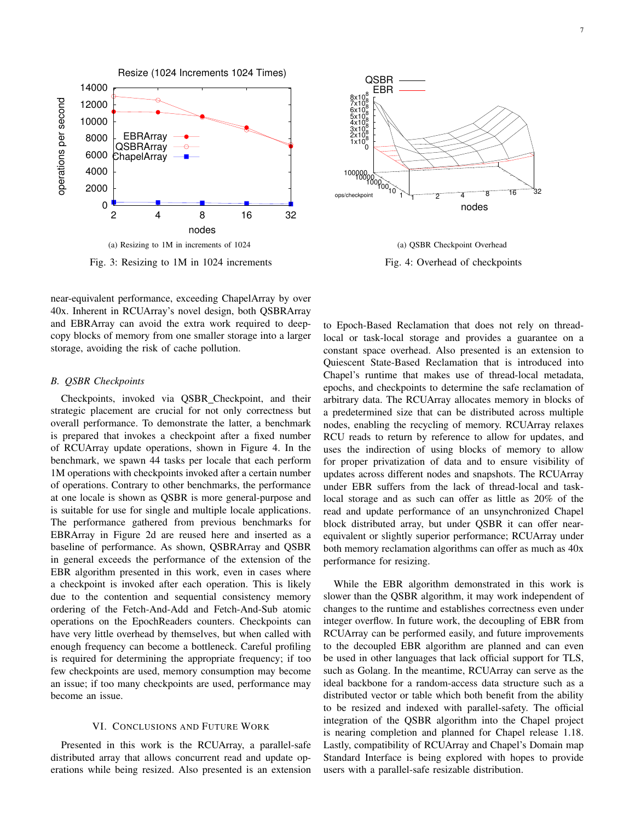

Fig. 3: Resizing to 1M in 1024 increments

near-equivalent performance, exceeding ChapelArray by over 40x. Inherent in RCUArray's novel design, both QSBRArray and EBRArray can avoid the extra work required to deepcopy blocks of memory from one smaller storage into a larger storage, avoiding the risk of cache pollution.

### *B. QSBR Checkpoints*

Checkpoints, invoked via QSBR Checkpoint, and their strategic placement are crucial for not only correctness but overall performance. To demonstrate the latter, a benchmark is prepared that invokes a checkpoint after a fixed number of RCUArray update operations, shown in Figure 4. In the benchmark, we spawn 44 tasks per locale that each perform 1M operations with checkpoints invoked after a certain number of operations. Contrary to other benchmarks, the performance at one locale is shown as QSBR is more general-purpose and is suitable for use for single and multiple locale applications. The performance gathered from previous benchmarks for EBRArray in Figure 2d are reused here and inserted as a baseline of performance. As shown, QSBRArray and QSBR in general exceeds the performance of the extension of the EBR algorithm presented in this work, even in cases where a checkpoint is invoked after each operation. This is likely due to the contention and sequential consistency memory ordering of the Fetch-And-Add and Fetch-And-Sub atomic operations on the EpochReaders counters. Checkpoints can have very little overhead by themselves, but when called with enough frequency can become a bottleneck. Careful profiling is required for determining the appropriate frequency; if too few checkpoints are used, memory consumption may become an issue; if too many checkpoints are used, performance may become an issue.

## VI. CONCLUSIONS AND FUTURE WORK

Presented in this work is the RCUArray, a parallel-safe distributed array that allows concurrent read and update operations while being resized. Also presented is an extension



(a) QSBR Checkpoint Overhead Fig. 4: Overhead of checkpoints

to Epoch-Based Reclamation that does not rely on threadlocal or task-local storage and provides a guarantee on a constant space overhead. Also presented is an extension to Quiescent State-Based Reclamation that is introduced into Chapel's runtime that makes use of thread-local metadata, epochs, and checkpoints to determine the safe reclamation of arbitrary data. The RCUArray allocates memory in blocks of a predetermined size that can be distributed across multiple nodes, enabling the recycling of memory. RCUArray relaxes RCU reads to return by reference to allow for updates, and uses the indirection of using blocks of memory to allow for proper privatization of data and to ensure visibility of updates across different nodes and snapshots. The RCUArray under EBR suffers from the lack of thread-local and tasklocal storage and as such can offer as little as 20% of the read and update performance of an unsynchronized Chapel block distributed array, but under QSBR it can offer nearequivalent or slightly superior performance; RCUArray under both memory reclamation algorithms can offer as much as 40x performance for resizing.

While the EBR algorithm demonstrated in this work is slower than the QSBR algorithm, it may work independent of changes to the runtime and establishes correctness even under integer overflow. In future work, the decoupling of EBR from RCUArray can be performed easily, and future improvements to the decoupled EBR algorithm are planned and can even be used in other languages that lack official support for TLS, such as Golang. In the meantime, RCUArray can serve as the ideal backbone for a random-access data structure such as a distributed vector or table which both benefit from the ability to be resized and indexed with parallel-safety. The official integration of the QSBR algorithm into the Chapel project is nearing completion and planned for Chapel release 1.18. Lastly, compatibility of RCUArray and Chapel's Domain map Standard Interface is being explored with hopes to provide users with a parallel-safe resizable distribution.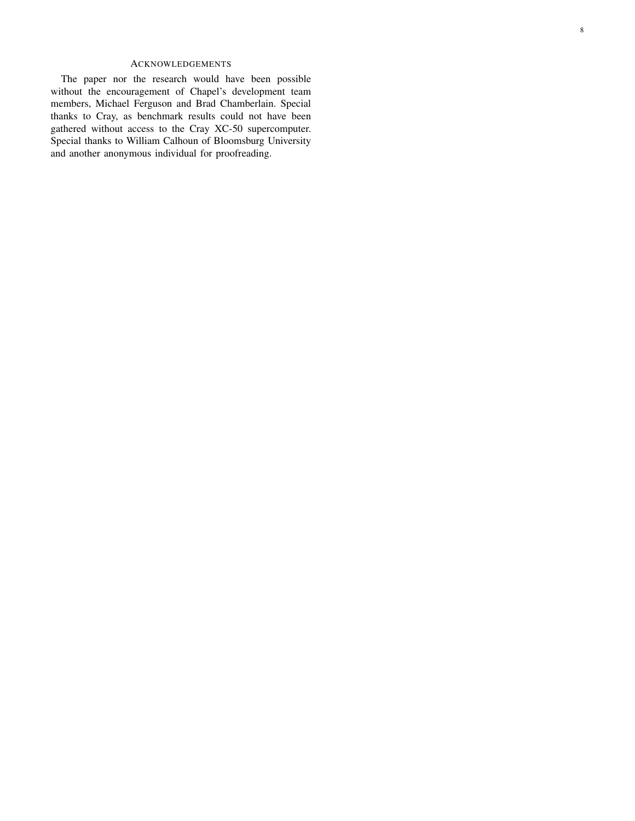# ACKNOWLEDGEMENTS

The paper nor the research would have been possible without the encouragement of Chapel's development team members, Michael Ferguson and Brad Chamberlain. Special thanks to Cray, as benchmark results could not have been gathered without access to the Cray XC-50 supercomputer. Special thanks to William Calhoun of Bloomsburg University and another anonymous individual for proofreading.